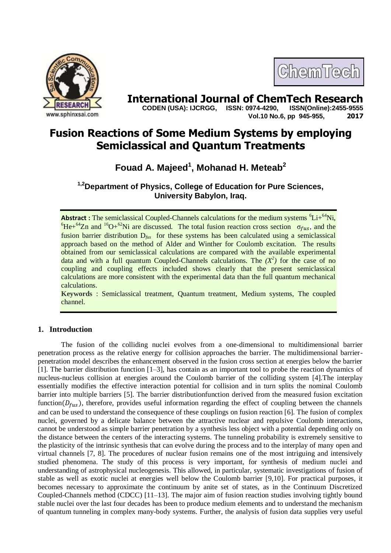



**International Journal of ChemTech Research**<br>CODEN (USA): IJCRGG. ISSN: 0974-4290. ISSN(Online):2455-9555  **CODEN (USA): IJCRGG, ISSN: 0974-4290, Vol.10 No.6, pp 945-955, 2017**

# **Fusion Reactions of Some Medium Systems by employing Semiclassical and Quantum Treatments**

# **Fouad A. Majeed<sup>1</sup> , Mohanad H. Meteab<sup>2</sup>**

**1,2Department of Physics, College of Education for Pure Sciences, University Babylon, Iraq.**

Abstract **:** The semiclassical Coupled-Channels calculations for the medium systems <sup>6</sup>Li+<sup>64</sup>Ni, <sup>6</sup>He+<sup>64</sup>Zn and <sup>16</sup>O+<sup>62</sup>Ni are discussed. The total fusion reaction cross section  $\sigma_{fus}$ , and the fusion barrier distribution  $D_{\text{fus}}$  for these systems has been calculated using a semiclassical approach based on the method of Alder and Winther for Coulomb excitation. The results obtained from our semiclassical calculations are compared with the available experimental data and with a full quantum Coupled-Channels calculations. The  $(X^2)$  for the case of no coupling and coupling effects included shows clearly that the present semiclassical calculations are more consistent with the experimental data than the full quantum mechanical calculations.

**Keywords** : Semiclassical treatment, Quantum treatment, Medium systems, The coupled channel.

# **1. Introduction**

The fusion of the colliding nuclei evolves from a one-dimensional to multidimensional barrier penetration process as the relative energy for collision approaches the barrier. The multidimensional barrierpenetration model describes the enhancement observed in the fusion cross section at energies below the barrier [1]. The barrier distribution function [1–3], has contain as an important tool to probe the reaction dynamics of nucleus-nucleus collision at energies around the Coulomb barrier of the colliding system [4].The interplay essentially modifies the effective interaction potential for collision and in turn splits the nominal Coulomb barrier into multiple barriers [5]. The barrier distributionfunction derived from the measured fusion excitation function  $(D_{fus})$ , therefore, provides useful information regarding the effect of coupling between the channels and can be used to understand the consequence of these couplings on fusion reaction [6]. The fusion of complex nuclei, governed by a delicate balance between the attractive nuclear and repulsive Coulomb interactions, cannot be understood as simple barrier penetration by a synthesis less object with a potential depending only on the distance between the centers of the interacting systems. The tunneling probability is extremely sensitive to the plasticity of the intrinsic synthesis that can evolve during the process and to the interplay of many open and virtual channels [7, 8]. The procedures of nuclear fusion remains one of the most intriguing and intensively studied phenomena. The study of this process is very important, for synthesis of medium nuclei and understanding of astrophysical nucleogenesis. This allowed, in particular, systematic investigations of fusion of stable as well as exotic nuclei at energies well below the Coulomb barrier [9,10]. For practical purposes, it becomes necessary to approximate the continuum by anite set of states, as in the Continuum Discretized Coupled-Channels method (CDCC) [11–13]. The major aim of fusion reaction studies involving tightly bound stable nuclei over the last four decades has been to produce medium elements and to understand the mechanism of quantum tunneling in complex many-body systems. Further, the analysis of fusion data supplies very useful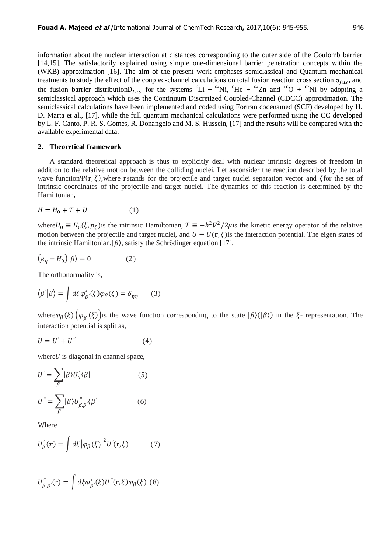information about the nuclear interaction at distances corresponding to the outer side of the Coulomb barrier [14,15]. The satisfactorily explained using simple one-dimensional barrier penetration concepts within the (WKB) approximation [16]. The aim of the present work emphases semiclassical and Quantum mechanical treatments to study the effect of the coupled-channel calculations on total fusion reaction cross section  $\sigma_{fus}$ , and the fusion barrier distribution  $D_{f_1}$  for the systems  ${}^6Li + {}^{64}Ni$ ,  ${}^6He + {}^{64}Zn$  and  ${}^{16}O + {}^{62}Ni$  by adopting a semiclassical approach which uses the Continuum Discretized Coupled-Channel (CDCC) approximation. The semiclassical calculations have been implemented and coded using Fortran codenamed (SCF) developed by H. D. Marta et al., [17], while the full quantum mechanical calculations were performed using the CC developed by L. F. Canto, P. R. S. Gomes, R. Donangelo and M. S. Hussein, [17] and the results will be compared with the available experimental data.

### **2. Theoretical framework**

A standard theoretical approach is thus to explicitly deal with nuclear intrinsic degrees of freedom in addition to the relative motion between the colliding nuclei. Let asconsider the reaction described by the total wave function  $\Psi(\mathbf{r},\xi)$ , where rstands for the projectile and target nuclei separation vector and  $\xi$  for the set of intrinsic coordinates of the projectile and target nuclei. The dynamics of this reaction is determined by the Hamiltonian,

$$
H = H_0 + T + U \tag{1}
$$

where  $H_0 \equiv H_0(\xi, p_\xi)$  is the intrinsic Hamiltonian,  $T \equiv -\hbar^2 \nabla^2/2\mu$  is the kinetic energy operator of the relative motion between the projectile and target nuclei, and  $U \equiv U(\mathbf{r}, \xi)$  is the interaction potential. The eigen states of the intrinsic Hamiltonian,  $|\beta\rangle$ , satisfy the Schrödinger equation [17],

$$
(e_{\eta} - H_0)|\beta\rangle = 0 \tag{2}
$$

The orthonormality is,

$$
\langle \beta' | \beta \rangle = \int d\xi \varphi_{\beta'}^*(\xi) \varphi_{\beta}(\xi) = \delta_{\eta \eta'} \qquad (3)
$$

where  $\varphi_\beta(\xi)$   $(\varphi_{\beta}(\xi))$  is the wave function corresponding to the state  $|\beta\rangle(|\beta\rangle)$  in the  $\xi$ - representation. The interaction potential is split as,

$$
U = U' + U'' \tag{4}
$$

where  $U'$  is diagonal in channel space,

$$
U' = \sum_{\beta} |\beta\rangle U'_{\eta}\langle \beta|
$$
 (5)  

$$
U'' = \sum_{\beta} |\beta\rangle U''_{\beta,\beta}\langle \beta|
$$
 (6)

Where

$$
U_{\beta}^{'}(r) = \int d\xi \left| \varphi_{\beta}(\xi) \right|^{2} U^{'}(r,\xi) \tag{7}
$$

$$
U_{\beta,\beta'}^{''}(\mathbf{r}) = \int d\xi \varphi_{\beta'}^{*}(\xi) U^{''}(\mathbf{r},\xi) \varphi_{\beta}(\xi)
$$
 (8)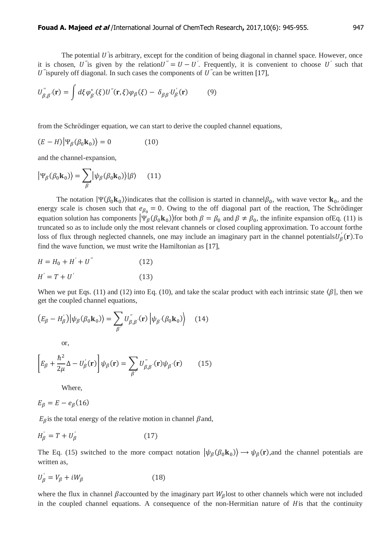The potential  $U$  is arbitrary, except for the condition of being diagonal in channel space. However, once it is chosen, U''s given by the relation  $U'' = U - U'$ . Frequently, it is convenient to choose U' such that  $U$ "ispurely off diagonal. In such cases the components of  $U$ " can be written [17],

$$
U_{\beta,\beta'}^{''}(\mathbf{r}) = \int d\xi \varphi_{\beta'}^{*}(\xi) U^{''}(\mathbf{r},\xi) \varphi_{\beta}(\xi) - \delta_{\beta\beta'} U_{\beta}^{'}(\mathbf{r}) \tag{9}
$$

from the Schrödinger equation, we can start to derive the coupled channel equations,

$$
(E - H)|\Psi_{\beta}(\beta_0 \mathbf{k}_0)\rangle = 0
$$
 (10)

and the channel-expansion,

$$
|\Psi_{\beta}(\beta_0 \mathbf{k}_0)\rangle = \sum_{\beta} |\psi_{\beta}(\beta_0 \mathbf{k}_0)\rangle |\beta\rangle \qquad (11)
$$

The notation  $|\Psi(\beta_0 \mathbf{k}_0)\rangle$  indicates that the collision is started in channel  $\beta_0$ , with wave vector  $\mathbf{k}_0$ , and the energy scale is chosen such that  $e_{\beta_0} = 0$ . Owing to the off diagonal part of the reaction, The Schrödinger equation solution has components  $|\Psi_{\beta}(\beta_0, \mathbf{k}_0)\rangle$  for both  $\beta = \beta_0$  and  $\beta \neq \beta_0$ , the infinite expansion of Eq. (11) is truncated so as to include only the most relevant channels or closed coupling approximation. To account forthe loss of flux through neglected channels, one may include an imaginary part in the channel potentials  $U'_R(\mathbf{r})$ . To find the wave function, we must write the Hamiltonian as [17],

$$
H = H_0 + H' + U''
$$
 (12)  

$$
H' = T + U'
$$
 (13)

When we put Eqs. (11) and (12) into Eq. (10), and take the scalar product with each intrinsic state  $\langle \beta |$ , then we get the coupled channel equations,

$$
(E_{\beta} - H_{\beta}^{'}) |\psi_{\beta}(\beta_0 \mathbf{k}_0)\rangle = \sum_{\beta'} U_{\beta, \beta'}^{''}(\mathbf{r}) |\psi_{\beta'}(\beta_0 \mathbf{k}_0)\rangle \quad (14)
$$

or,

$$
\left[E_{\beta} + \frac{\hbar^2}{2\mu}\Delta - U_{\beta}'(\mathbf{r})\right]\psi_{\beta}(\mathbf{r}) = \sum_{\beta'} U_{\beta,\beta'}^{''}(\mathbf{r})\psi_{\beta'}(\mathbf{r})\tag{15}
$$

Where,

$$
E_{\beta} = E - e_{\beta}(16)
$$

 $E_{\beta}$  is the total energy of the relative motion in channel  $\beta$  and,

$$
H'_{\beta} = T + U'_{\beta} \tag{17}
$$

The Eq. (15) switched to the more compact notation  $|\psi_\beta(\beta_0 \mathbf{k}_0)\rangle \to \psi_\beta(\mathbf{r})$ , and the channel potentials are written as*,*

$$
U'_{\beta} = V_{\beta} + iW_{\beta} \tag{18}
$$

where the flux in channel  $\beta$  accounted by the imaginary part  $W_\beta$  lost to other channels which were not included in the coupled channel equations. A consequence of the non-Hermitian nature of His that the continuity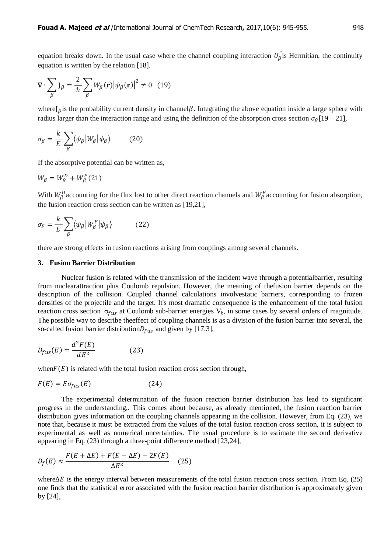equation breaks down. In the usual case where the channel coupling interaction  $U_{\beta}^{\prime}$  is Hermitian, the continuity equation is written by the relation [18].

$$
\nabla \cdot \sum_{\beta} \mathbf{J}_{\beta} = \frac{2}{\hbar} \sum_{\beta} W_{\beta}(\mathbf{r}) |\psi_{\beta}(\mathbf{r})|^2 \neq 0 \quad (19)
$$

where  $J_\beta$  is the probability current density in channel  $\beta$ . Integrating the above equation inside a large sphere with radius larger than the interaction range and using the definition of the absorption cross section  $\sigma_8[19 - 21]$ ,

$$
\sigma_{\beta} = \frac{k}{E} \sum_{\beta} \langle \psi_{\beta} | W_{\beta} | \psi_{\beta} \rangle \tag{20}
$$

If the absorptive potential can be written as,

$$
W_{\beta} = W_{\beta}^D + W_{\beta}^F(21)
$$

With  $W_R^D$  accounting for the flux lost to other direct reaction channels and  $W_R^F$  accounting for fusion absorption, the fusion reaction cross section can be written as [19,21],

$$
\sigma_F = \frac{k}{E} \sum_{\beta} \langle \psi_{\beta} | W_{\beta}^F | \psi_{\beta} \rangle \tag{22}
$$

there are strong effects in fusion reactions arising from couplings among several channels.

#### **3. Fusion Barrier Distribution**

Nuclear fusion is related with the transmission of the incident wave through a potentialbarrier, resulting from nuclearattraction plus Coulomb repulsion. However, the meaning of thefusion barrier depends on the description of the collision. Coupled channel calculations involvestatic barriers, corresponding to frozen densities of the projectile and the target. It's most dramatic consequence is the enhancement of the total fusion reaction cross section  $\sigma_{fus}$  at Coulomb sub-barrier energies  $V_b$ , in some cases by several orders of magnitude. The possible way to describe theeffect of coupling channels is as a division of the fusion barrier into several, the so-called fusion barrier distribution  $D_{fus}$  and given by [17,3],

$$
D_{fus}(E) = \frac{d^2 F(E)}{dE^2}
$$
 (23)

when  $F(E)$  is related with the total fusion reaction cross section through,

$$
F(E) = E \sigma_{fus}(E) \tag{24}
$$

The experimental determination of the fusion reaction barrier distribution has lead to significant progress in the understanding,. This comes about because, as already mentioned, the fusion reaction barrier distribution gives information on the coupling channels appearing in the collision. However, from Eq. (23), we note that, because it must be extracted from the values of the total fusion reaction cross section, it is subject to experimental as well as numerical uncertainties. The usual procedure is to estimate the second derivative appearing in Eq. (23) through a three-point difference method [23,24],

$$
D_f(E) \approx \frac{F(E + \Delta E) + F(E - \Delta E) - 2F(E)}{\Delta E^2}
$$
 (25)

where  $\Delta E$  is the energy interval between measurements of the total fusion reaction cross section. From Eq. (25) one finds that the statistical error associated with the fusion reaction barrier distribution is approximately given by [24],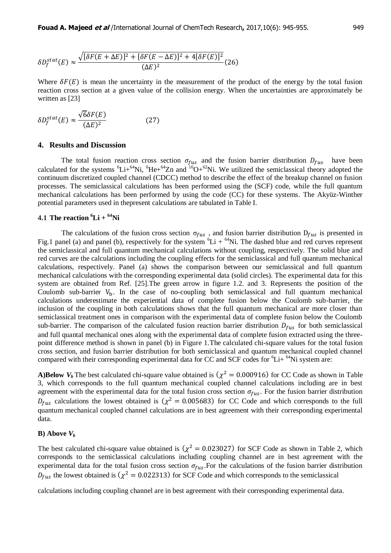$$
\delta D_f^{stat}(E) \approx \frac{\sqrt{[\delta F(E + \Delta E)]^2 + [\delta F(E - \Delta E)]^2 + 4[\delta F(E)]^2}}{(\Delta E)^2} (26)
$$

Where  $\delta F(E)$  is mean the uncertainty in the measurement of the product of the energy by the total fusion reaction cross section at a given value of the collision energy. When the uncertainties are approximately be written as [23]

$$
\delta D_f^{stat}(E) \approx \frac{\sqrt{6}\delta F(E)}{(\Delta E)^2} \tag{27}
$$

#### **4. Results and Discussion**

The total fusion reaction cross section  $\sigma_{fus}$  and the fusion barrier distribution  $D_{fus}$  have been calculated for the systems  ${}^{6}Li+{}^{64}Ni$ ,  ${}^{6}He+{}^{64}Zn$  and  ${}^{16}O+{}^{62}Ni$ . We utilized the semiclassical theory adopted the continuum discretized coupled channel (CDCC) method to describe the effect of the breakup channel on fusion processes. The semiclassical calculations has been performed using the (SCF) code, while the full quantum mechanical calculations has been performed by using the code (CC) for these systems. The Akyüz-Winther potential parameters used in thepresent calculations are tabulated in Table I.

# **4.1 The reaction**  ${}^6\text{Li} + {}^{64}\text{Ni}$

The calculations of the fusion cross section  $\sigma_{fus}$ , and fusion barrier distribution  $D_{fus}$  is presented in Fig.1 panel (a) and panel (b), respectively for the system  ${}^{6}Li + {}^{64}Ni$ . The dashed blue and red curves represent the semiclassical and full quantum mechanical calculations without coupling, respectively. The solid blue and red curves are the calculations including the coupling effects for the semiclassical and full quantum mechanical calculations, respectively. Panel (a) shows the comparison between our semiclassical and full quantum mechanical calculations with the corresponding experimental data (solid circles). The experimental data for this system are obtained from Ref. [25].The green arrow in figure 1.2. and 3. Represents the position of the Coulomb sub-barrier  $V<sub>b</sub>$ . In the case of no-coupling both semiclassical and full quantum mechanical calculations underestimate the experiential data of complete fusion below the Coulomb sub-barrier, the inclusion of the coupling in both calculations shows that the full quantum mechanical are more closer than semiclassical treatment ones in comparison with the experimental data of complete fusion below the Coulomb sub-barrier. The comparison of the calculated fusion reaction barrier distribution  $D_{fus}$  for both semiclassical and full quantal mechanical ones along with the experimental data of complete fusion extracted using the threepoint difference method is shown in panel (b) in Figure 1.The calculated chi-square values for the total fusion cross section, and fusion barrier distribution for both semiclassical and quantum mechanical coupled channel compared with their corresponding experimental data for CC and SCF codes for  ${}^{6}Li+{}^{64}Ni$  system are:

A)Below  $V_b$  The best calculated chi-square value obtained is  $(\chi^2 = 0.000916)$  for CC Code as shown in Table 3, which corresponds to the full quantum mechanical coupled channel calculations including are in best agreement with the experimental data for the total fusion cross section  $\sigma_{fus}$ . For the fusion barrier distribution  $D_{fus}$  calculations the lowest obtained is ( $\chi^2 = 0.005683$ ) for CC Code and which corresponds to the full quantum mechanical coupled channel calculations are in best agreement with their corresponding experimental data.

#### **B**) Above  $V_b$

The best calculated chi-square value obtained is  $(\chi^2 = 0.023027)$  for SCF Code as shown in Table 2, which corresponds to the semiclassical calculations including coupling channel are in best agreement with the experimental data for the total fusion cross section  $\sigma_{fus}$ . For the calculations of the fusion barrier distribution  $D_{fus}$  the lowest obtained is  $(\chi^2 = 0.022313)$  for SCF Code and which corresponds to the semiclassical

calculations including coupling channel are in best agreement with their corresponding experimental data.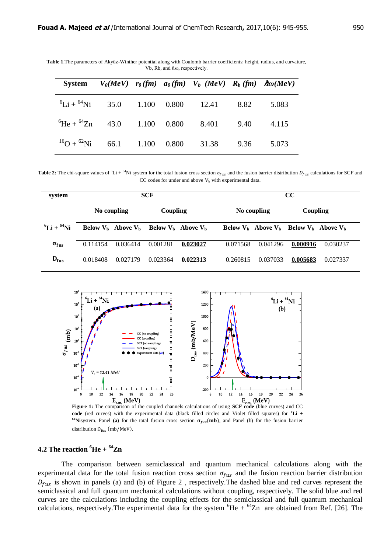|                                               |  | System $V_0(MeV)$ $r_0(fm)$ $a_0(fm)$ $V_b$ $(MeV)$ $R_b$ $(fm)$ $\hbar \omega(MeV)$ |      |       |
|-----------------------------------------------|--|--------------------------------------------------------------------------------------|------|-------|
|                                               |  | ${}^{6}$ Li + ${}^{64}$ Ni 35.0 1.100 0.800 12.41 8.82                               |      | 5.083 |
|                                               |  | ${}^{6}\text{He} + {}^{64}\text{Zn}$ 43.0 1.100 0.800 8.401 9.40                     |      | 4.115 |
| $^{16}$ O + $^{62}$ Ni 66.1 1.100 0.800 31.38 |  |                                                                                      | 9.36 | 5.073 |

**Table 1**.The parameters of Akyüz-Winther potential along with Coulomb barrier coefficients: height, radius, and curvature, Vb, Rb, and  $\hbar$ ω, respectively.

**Table 2:** The chi-square values of <sup>6</sup>Li + <sup>64</sup>Ni system for the total fusion cross section  $\sigma_{fus}$  and the fusion barrier distribution  $D_{fus}$  calculations for SCF and  $CC$  codes for under and above  $V<sub>b</sub>$  with experimental data.

| system                 |             |                                                 | <b>SCF</b> |          | CC          |                                                 |          |          |
|------------------------|-------------|-------------------------------------------------|------------|----------|-------------|-------------------------------------------------|----------|----------|
|                        | No coupling |                                                 | Coupling   |          | No coupling |                                                 | Coupling |          |
| ${}^{6}Li + {}^{64}Ni$ |             | Below $V_h$ Above $V_h$ Below $V_h$ Above $V_h$ |            |          |             | Below $V_h$ Above $V_h$ Below $V_h$ Above $V_h$ |          |          |
| $\sigma_{fus}$         | 0.114154    | 0.036414                                        | 0.001281   | 0.023027 | 0.071568    | 0.041296                                        | 0.000916 | 0.030237 |
| $D_{fus}$              | 0.018408    | 0.027179                                        | 0.023364   | 0.022313 | 0.260815    | 0.037033                                        | 0.005683 | 0.027337 |



**code** (red curves) with the experimental data (black filled circles and Violet filled squares) for **<sup>6</sup>Li +**  <sup>64</sup>Nisystem. Panel (a) for the total fusion cross section  $\sigma_{fus}(mb)$ , and Panel (b) for the fusion barrier distribution  $D_{fus}$  (mb/MeV).

# **4.2 The reaction**  ${}^{6}$ **He** +  ${}^{64}$ **Zn**

The comparison between semiclassical and quantum mechanical calculations along with the experimental data for the total fusion reaction cross section  $\sigma_{fus}$  and the fusion reaction barrier distribution  $D_{fus}$  is shown in panels (a) and (b) of Figure 2, respectively. The dashed blue and red curves represent the semiclassical and full quantum mechanical calculations without coupling, respectively. The solid blue and red curves are the calculations including the coupling effects for the semiclassical and full quantum mechanical calculations, respectively. The experimental data for the system  ${}^{6}$ He +  ${}^{64}$ Zn are obtained from Ref. [26]. The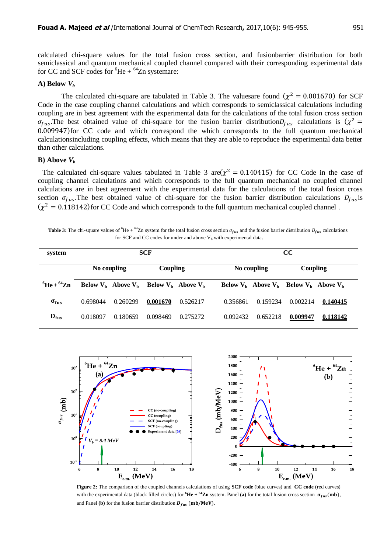calculated chi-square values for the total fusion cross section, and fusionbarrier distribution for both semiclassical and quantum mechanical coupled channel compared with their corresponding experimental data for CC and SCF codes for  ${}^{6}$ He +  ${}^{64}$ Zn systemare:

# A) **Below**  $V_b$

The calculated chi-square are tabulated in Table 3. The values are found  $(\chi^2 = 0.001670)$  for SCF Code in the case coupling channel calculations and which corresponds to semiclassical calculations including coupling are in best agreement with the experimental data for the calculations of the total fusion cross section  $\sigma_{fus}$ . The best obtained value of chi-square for the fusion barrier distribution  $D_{fus}$  calculations is  $(\chi^2)$  $0.009947$ ) for CC code and which correspond the which corresponds to the full quantum mechanical calculationsincluding coupling effects, which means that they are able to reproduce the experimental data better than other calculations.

#### **B**) Above  $V_b$

The calculated chi-square values tabulated in Table 3 are  $(\chi^2 = 0.140415)$  for CC Code in the case of coupling channel calculations and which corresponds to the full quantum mechanical no coupled channel calculations are in best agreement with the experimental data for the calculations of the total fusion cross section  $\sigma_{fus}$ . The best obtained value of chi-square for the fusion barrier distribution calculations  $D_{fus}$  is  $(\chi^2 = 0.118142)$  for CC Code and which corresponds to the full quantum mechanical coupled channel.

**Table 3:** The chi-square values of <sup>6</sup>He + <sup>64</sup>Zn system for the total fusion cross section  $\sigma_{f_{115}}$  and the fusion barrier distribution  $D_{f_{115}}$  calculations for SCF and CC codes for under and above  $V_b$  with experimental data.

| system                     |             |                       | <b>SCF</b>              |          |             | $\bf CC$                                        |          |          |  |
|----------------------------|-------------|-----------------------|-------------------------|----------|-------------|-------------------------------------------------|----------|----------|--|
|                            | No coupling |                       | Coupling                |          | No coupling |                                                 | Coupling |          |  |
| ${}^{6}$ He + ${}^{64}$ Zn |             | Below $Vh$ Above $Vh$ | Below $V_h$ Above $V_h$ |          |             | Below $V_h$ Above $V_h$ Below $V_h$ Above $V_h$ |          |          |  |
| $\sigma_{fus}$             | 0.698044    | 0.260299              | 0.001670                | 0.526217 | 0.356861    | 0.159234                                        | 0.002214 | 0.140415 |  |
| $D_{fus}$                  | 0.018097    | 0.180659              | 0.098469                | 0.275272 | 0.092432    | 0.652218                                        | 0.009947 | 0.118142 |  |



**Figure 2:** The comparison of the coupled channels calculations of using **SCF code** (blue curves) and **CC code** (red curves) with the experimental data (black filled circles) for  ${}^6\text{He} + {}^{64}\text{Zn}$  system. Panel (a) for the total fusion cross section  $\sigma_{fus}(mb)$ , and Panel **(b)** for the fusion barrier distribution  $D_{fus}$  (mb/MeV).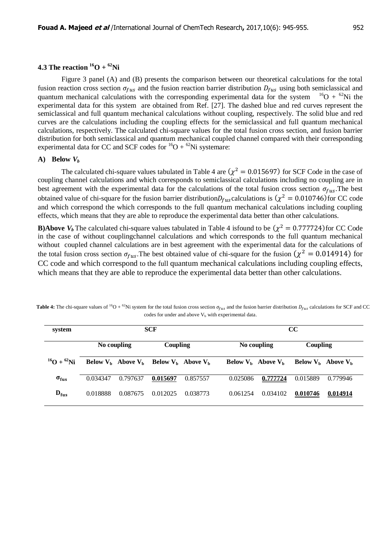# **4.3 The reaction**  ${}^{16}O + {}^{62}Ni$

Figure 3 panel (A) and (B) presents the comparison between our theoretical calculations for the total fusion reaction cross section  $\sigma_{fus}$  and the fusion reaction barrier distribution  $D_{fus}$  using both semiclassical and quantum mechanical calculations with the corresponding experimental data for the system  $16O + 62Ni$  the experimental data for this system are obtained from Ref. [27]. The dashed blue and red curves represent the semiclassical and full quantum mechanical calculations without coupling, respectively. The solid blue and red curves are the calculations including the coupling effects for the semiclassical and full quantum mechanical calculations, respectively. The calculated chi-square values for the total fusion cross section, and fusion barrier distribution for both semiclassical and quantum mechanical coupled channel compared with their corresponding experimental data for CC and SCF codes for  ${}^{16}O + {}^{62}Ni$  systemare:

#### A) **Below**  $V_b$

The calculated chi-square values tabulated in Table 4 are  $(\chi^2 = 0.015697)$  for SCF Code in the case of coupling channel calculations and which corresponds to semiclassical calculations including no coupling are in best agreement with the experimental data for the calculations of the total fusion cross section  $\sigma_{fus}$ . The best obtained value of chi-square for the fusion barrier distribution  $D_{fus}$  calculations is  $(\chi^2 = 0.010746)$  for CC code and which correspond the which corresponds to the full quantum mechanical calculations including coupling effects, which means that they are able to reproduce the experimental data better than other calculations.

**B)Above**  $V_b$  The calculated chi-square values tabulated in Table 4 is found to be  $(\chi^2 = 0.777724)$  for CC Code in the case of without couplingchannel calculations and which corresponds to the full quantum mechanical without coupled channel calculations are in best agreement with the experimental data for the calculations of the total fusion cross section  $\sigma_{fus}$ . The best obtained value of chi-square for the fusion  $(\chi^2 = 0.014914)$  for CC code and which correspond to the full quantum mechanical calculations including coupling effects, which means that they are able to reproduce the experimental data better than other calculations.

| system             |             |                                                 | <b>SCF</b> |          | cc                      |          |          |                         |
|--------------------|-------------|-------------------------------------------------|------------|----------|-------------------------|----------|----------|-------------------------|
|                    | No coupling |                                                 | Coupling   |          | No coupling             |          | Coupling |                         |
| $^{16}O + ^{62}Ni$ |             | Below $V_h$ Above $V_h$ Below $V_h$ Above $V_h$ |            |          | Below $V_h$ Above $V_h$ |          |          | Below $V_h$ Above $V_h$ |
| $\sigma_{fus}$     | 0.034347    | 0.797637                                        | 0.015697   | 0.857557 | 0.025086                | 0.777724 | 0.015889 | 0.779946                |
| $D_{fus}$          | 0.018888    | 0.087675                                        | 0.012025   | 0.038773 | 0.061254                | 0.034102 | 0.010746 | 0.014914                |

**Table 4:** The chi-square values of <sup>16</sup>O + <sup>62</sup>Ni system for the total fusion cross section  $\sigma_{fus}$  and the fusion barrier distribution  $D_{fus}$  calculations for SCF and CC codes for under and above  $V_b$  with experimental data.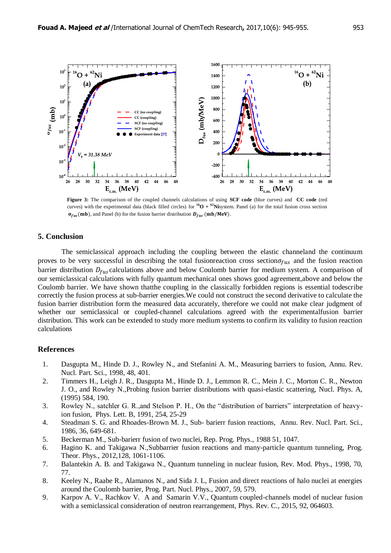

**Figure 3:** The comparison of the coupled channels calculations of using **SCF code** (blue curves) and **CC code** (red curves) with the experimental data (black filled circles) for  ${}^{16}O + {}^{62}N$ isystem. Panel (a) for the total fusion cross section  $\sigma_{fus}$ (mb), and Panel (b) for the fusion barrier distribution  $D_{fus}$  (mb/MeV).

### **5. Conclusion**

The semiclassical approach including the coupling between the elastic channeland the continuum proves to be very successful in describing the total fusionreaction cross section  $\sigma_{fus}$  and the fusion reaction barrier distribution  $D_{fus}$  calculations above and below Coulomb barrier for medium system. A comparison of our semiclassical calculations with fully quantum mechanical ones shows good agreement,above and below the Coulomb barrier. We have shown thatthe coupling in the classically forbidden regions is essential todescribe correctly the fusion process at sub-barrier energies.We could not construct the second derivative to calculate the fusion barrier distribution form the measured data accurately, therefore we could not make clear judgment of whether our semiclassical or coupled-channel calculations agreed with the experimentalfusion barrier distribution. This work can be extended to study more medium systems to confirm its validity to fusion reaction calculations

## **References**

- 1. Dasgupta M., Hinde D. J., Rowley N., and Stefanini A. M., Measuring barriers to fusion, Annu. Rev. Nucl. Part. Sci., 1998, 48, 401.
- 2. Timmers H., Leigh J. R., Dasgupta M., Hinde D. J., Lemmon R. C., Mein J. C., Morton C. R., Newton J. O., and Rowley N.,Probing fusion barrier distributions with quasi-elastic scattering, Nucl. Phys. A, (1995) 584, 190.
- 3. Rowley N., satchler G. R.,and Stelson P. H., On the "distribution of barriers" interpretation of heavyion fusion, Phys. Lett. B, 1991, 254, 25-29
- 4. Steadman S. G. and Rhoades-Brown M. J., Sub- barierr fusion reactions, Annu. Rev. Nucl. Part. Sci., 1986, 36, 649-681.
- 5. Beckerman M., Sub-barierr fusion of two nuclei, Rep. Prog. Phys., 1988 51, 1047.
- 6. Hagino K. and Takigawa N.,Subbarrier fusion reactions and many-particle quantum tunneling, Prog. Theor. Phys., 2012,128, 1061-1106.
- 7. Balantekin A. B. and Takigawa N., Quantum tunneling in nuclear fusion, Rev. Mod. Phys., 1998, 70, 77.
- 8. Keeley N., Raabe R., Alamanos N., and Sida J. L, Fusion and direct reactions of halo nuclei at energies around the Coulomb barrier, Prog. Part. Nucl. Phys., 2007, 59, 579.
- 9. Karpov A. V., Rachkov V. A and Samarin V.V., Quantum coupled-channels model of nuclear fusion with a semiclassical consideration of neutron rearrangement, Phys. Rev. C., 2015, 92, 064603.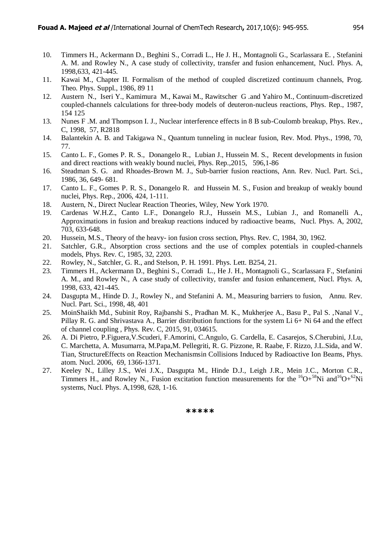- 10. Timmers H., Ackermann D., Beghini S., Corradi L., He J. H., Montagnoli G., Scarlassara E. , Stefanini A. M. and Rowley N., A case study of collectivity, transfer and fusion enhancement, Nucl. Phys. A, 1998,633, 421-445.
- 11. Kawai M., Chapter II. Formalism of the method of coupled discretized continuum channels, Prog. Theo. Phys. Suppl., 1986, 89 11
- 12. Austern N., Iseri Y., Kamimura M., Kawai M., Rawitscher G .and Yahiro M., Continuum-discretized coupled-channels calculations for three-body models of deuteron-nucleus reactions, Phys. Rep., 1987, 154 125
- 13. Nunes F .M. and Thompson I. J., Nuclear interference effects in 8 B sub-Coulomb breakup, Phys. Rev., C, 1998, 57, R2818
- 14. Balantekin A. B. and Takigawa N., Quantum tunneling in nuclear fusion, Rev. Mod. Phys., 1998, 70, 77.
- 15. Canto L. F., Gomes P. R. S., Donangelo R., Lubian J., Hussein M. S., Recent developments in fusion and direct reactions with weakly bound nuclei, [Phys. Rep.,](http://www.sciencedirect.com/science/journal/03701573)2015, 596,1-86
- 16. Steadman S. G. and Rhoades-Brown M. J., Sub-barrier fusion reactions, Ann. Rev. Nucl. Part. Sci., 1986, 36, 649- 681.
- 17. Canto L. F., Gomes P. R. S., Donangelo R. and Hussein M. S., Fusion and breakup of weakly bound nuclei, Phys. Rep., 2006, 424, 1-111.
- 18. Austern, N., Direct Nuclear Reaction Theories, Wiley, New York 1970.
- 19. Cardenas W.H.Z., Canto L.F., Donangelo R.J., Hussein M.S., Lubian J., and Romanelli A., Approximations in fusion and breakup reactions induced by radioactive beams, Nucl. Phys. A, 2002, 703, 633-648.
- 20. Hussein, M.S., Theory of the heavy- ion fusion cross section, Phys. Rev. C, 1984, 30, 1962.
- 21. Satchler, G.R., Absorption cross sections and the use of complex potentials in coupled-channels models, Phys. Rev. C, 1985, 32, 2203.
- 22. Rowley, N., Satchler, G. R., and Stelson, P. H. 1991. Phys. Lett. B254, 21.
- 23. Timmers H., Ackermann D., Beghini S., Corradi L., He J. H., Montagnoli G., Scarlassara F., Stefanini A. M., and Rowley N., A case study of collectivity, transfer and fusion enhancement, Nucl. Phys. A, 1998, 633, 421-445.
- 24. Dasgupta M., Hinde D. J., Rowley N., and Stefanini A. M., Measuring barriers to fusion, Annu. Rev. Nucl. Part. Sci., 1998, 48, 401
- 25. MoinShaikh Md., Subinit Roy, Rajbanshi S., Pradhan M. K., Mukherjee A., Basu P., Pal S. ,Nanal V., Pillay R. G. and Shrivastava A., Barrier distribution functions for the system Li 6+ Ni 64 and the effect of channel coupling , Phys. Rev. C, 2015, 91, 034615.
- 26. A. Di Pietro, P.Figuera,V.Scuderi, F.Amorini, C.Angulo, G. Cardella, E. Casarejos, S.Cherubini, J.Lu, C. Marchetta, A. Musumarra, M.Papa,M. Pellegriti, R. G. Pizzone, R. Raabe, F. Rizzo, J.L.Sida, and W. Tian, StructureEffects on Reaction Mechanismsin Collisions Induced by Radioactive Ion Beams, Phys. atom. Nucl. 2006, 69, 1366-1371.
- 27. Keeley N., Lilley J.S., Wei J.X., Dasgupta M., Hinde D.J., Leigh J.R., Mein J.C., Morton C.R., Timmers H., and Rowley N., Fusion excitation function measurements for the  ${}^{16}O+{}^{58}Ni$  and  ${}^{16}O+{}^{62}Ni$ systems, Nucl. Phys. A,1998, 628, 1-16.

**\*\*\*\*\***